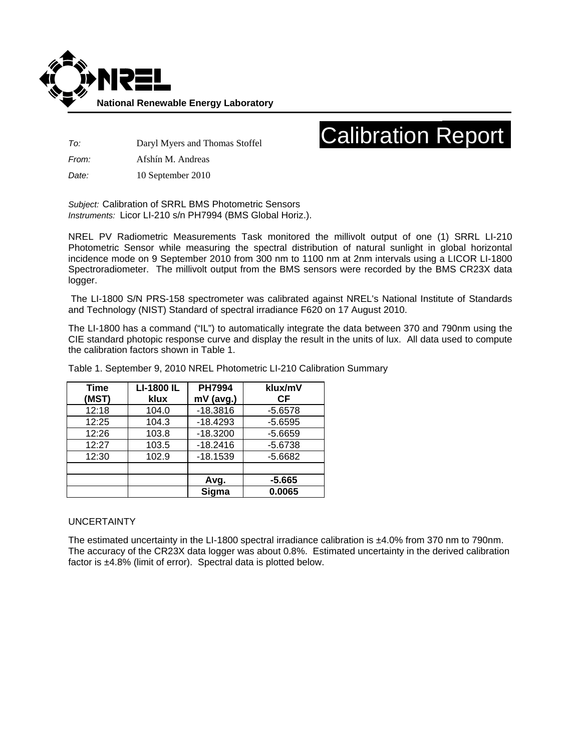

## Calibration Report

*To:* Daryl Myers and Thomas Stoffel

*From:* Afshín M. Andreas

*Date:* 10 September 2010

*Subject:* Calibration of SRRL BMS Photometric Sensors *Instruments:* Licor LI-210 s/n PH7994 (BMS Global Horiz.).

NREL PV Radiometric Measurements Task monitored the millivolt output of one (1) SRRL LI-210 Photometric Sensor while measuring the spectral distribution of natural sunlight in global horizontal incidence mode on 9 September 2010 from 300 nm to 1100 nm at 2nm intervals using a LICOR LI-1800 Spectroradiometer. The millivolt output from the BMS sensors were recorded by the BMS CR23X data logger.

 The LI-1800 S/N PRS-158 spectrometer was calibrated against NREL's National Institute of Standards and Technology (NIST) Standard of spectral irradiance F620 on 17 August 2010.

The LI-1800 has a command ("IL") to automatically integrate the data between 370 and 790nm using the CIE standard photopic response curve and display the result in the units of lux. All data used to compute the calibration factors shown in Table 1.

| Time<br>(MST) | <b>LI-1800 IL</b><br>klux | <b>PH7994</b><br>mV (avg.) | klux/mV<br>СF |
|---------------|---------------------------|----------------------------|---------------|
| 12:18         | 104.0                     | $-18.3816$                 | $-5.6578$     |
| 12:25         | 104.3                     | $-18.4293$                 | $-5.6595$     |
| 12:26         | 103.8                     | $-18.3200$                 | $-5.6659$     |
| 12:27         | 103.5                     | $-18.2416$                 | $-5.6738$     |
| 12:30         | 102.9                     | $-18.1539$                 | $-5.6682$     |
|               |                           |                            |               |
|               |                           | Avg.                       | $-5.665$      |
|               |                           | Sigma                      | 0.0065        |

Table 1. September 9, 2010 NREL Photometric LI-210 Calibration Summary

## UNCERTAINTY

The estimated uncertainty in the LI-1800 spectral irradiance calibration is ±4.0% from 370 nm to 790nm. The accuracy of the CR23X data logger was about 0.8%. Estimated uncertainty in the derived calibration factor is ±4.8% (limit of error). Spectral data is plotted below.